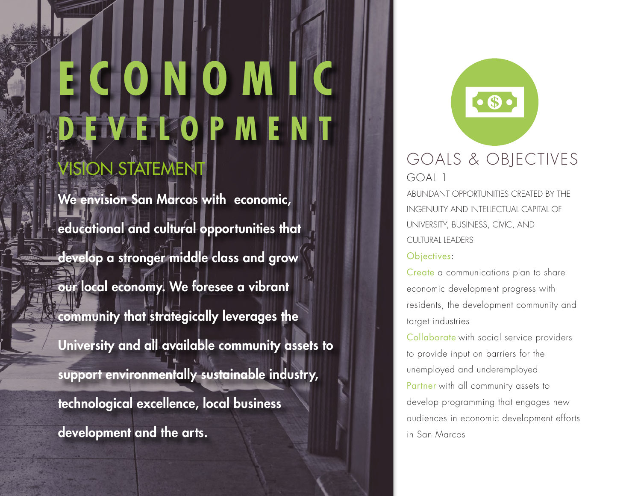# **ISION STATEMENT ECONOM DELOPMENT**

We envision San Marcos with economic, educational and cultural opportunities that develop a stronger middle class and grow our local economy. We foresee a vibrant community that strategically leverages the University and all available community assets to support environmentally sustainable industry, technological excellence, local business development and the arts.

 $\bullet$ GOALS & OBJECTIVES GOAL 1

ABUNDANT OPPORTUNITIES CREATED BY THE INGENUITY AND INTELLECTUAL CAPITAL OF UNIVERSITY, BUSINESS, CIVIC, AND CULTURAL LEADERS

### Objectives:

Create a communications plan to share economic development progress with residents, the development community and target industries

Collaborate with social service providers to provide input on barriers for the unemployed and underemployed Partner with all community assets to develop programming that engages new audiences in economic development efforts in San Marcos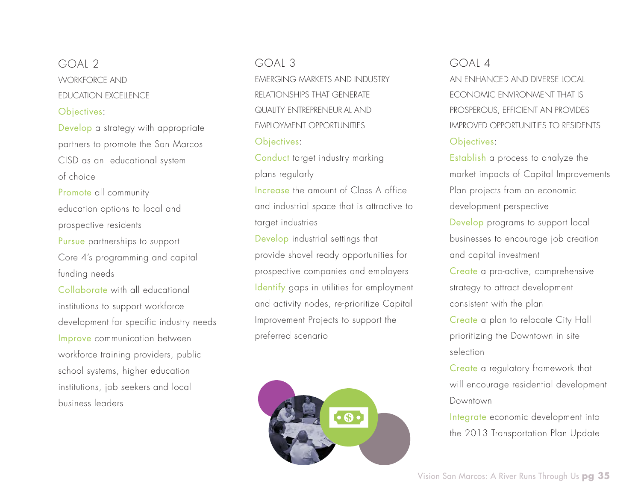## GOAL 2 WORKFORCE AND EDUCATION EXCELLENCE Objectives:

Develop a strategy with appropriate partners to promote the San Marcos CISD as an educational system of choice

Promote all community education options to local and prospective residents Pursue partnerships to support Core 4's programming and capital funding needs

Collaborate with all educational institutions to support workforce development for specific industry needs Improve communication between workforce training providers, public school systems, higher education institutions, job seekers and local business leaders

#### GOAL 3

EMERGING MARKETS AND INDUSTRY RELATIONSHIPS THAT GENERATE QUALITY ENTREPRENEURIAL AND EMPLOYMENT OPPORTUNITIES Objectives:

Conduct target industry marking plans regularly

Increase the amount of Class A office and industrial space that is attractive to target industries

Develop industrial settings that provide shovel ready opportunities for prospective companies and employers Identify gaps in utilities for employment and activity nodes, re-prioritize Capital Improvement Projects to support the preferred scenario



#### $GOMA$

AN ENHANCED AND DIVERSE LOCAL ECONOMIC ENVIRONMENT THAT IS PROSPEROUS, EFFICIENT AN PROVIDES IMPROVED OPPORTUNITIES TO RESIDENTS Objectives:

Establish a process to analyze the market impacts of Capital Improvements Plan projects from an economic development perspective Develop programs to support local businesses to encourage job creation and capital investment

Create a pro-active, comprehensive strategy to attract development consistent with the plan Create a plan to relocate City Hall prioritizing the Downtown in site selection

Create a regulatory framework that will encourage residential development Downtown

Integrate economic development into the 2013 Transportation Plan Update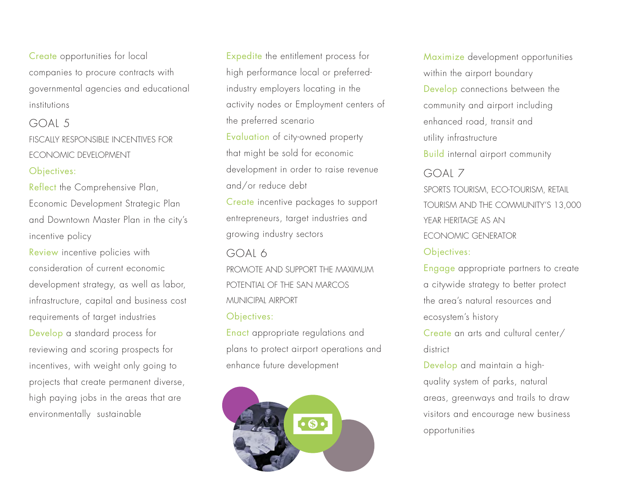Create opportunities for local companies to procure contracts with governmental agencies and educational institutions

## GOAL 5 FISCALLY RESPONSIBLE INCENTIVES FOR ECONOMIC DEVELOPMENT Objectives:

Reflect the Comprehensive Plan, Economic Development Strategic Plan and Downtown Master Plan in the city's incentive policy

Review incentive policies with consideration of current economic development strategy, as well as labor, infrastructure, capital and business cost requirements of target industries Develop a standard process for reviewing and scoring prospects for incentives, with weight only going to projects that create permanent diverse, high paying jobs in the areas that are environmentally sustainable

Expedite the entitlement process for high performance local or preferredindustry employers locating in the activity nodes or Employment centers of the preferred scenario Evaluation of city-owned property that might be sold for economic development in order to raise revenue and/or reduce debt Create incentive packages to support entrepreneurs, target industries and growing industry sectors GOAL 6 PROMOTE AND SUPPORT THE MAXIMUM POTENTIAL OF THE SAN MARCOS MUNICIPAL AIRPORT Objectives:

Enact appropriate regulations and plans to protect airport operations and enhance future development



GOAL 7 SPORTS TOURISM, ECO-TOURISM, RETAIL TOURISM AND THE COMMUNITY'S 13,000 YEAR HERITAGE AS AN ECONOMIC GENERATOR Objectives: Maximize development opportunities within the airport boundary Develop connections between the community and airport including enhanced road, transit and utility infrastructure Build internal airport community

Engage appropriate partners to create a citywide strategy to better protect the area's natural resources and ecosystem's history Create an arts and cultural center/ district Develop and maintain a high-

quality system of parks, natural areas, greenways and trails to draw visitors and encourage new business opportunities